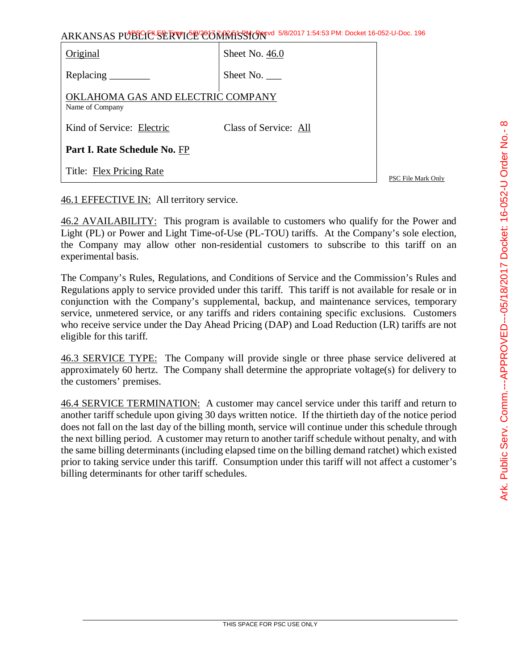| Original                                             | Sheet No. 46.0        |  |
|------------------------------------------------------|-----------------------|--|
| Replacing                                            | Sheet No. ____        |  |
| OKLAHOMA GAS AND ELECTRIC COMPANY<br>Name of Company |                       |  |
| Kind of Service: Electric                            | Class of Service: All |  |
| Part I. Rate Schedule No. FP                         |                       |  |
| Title: Flex Pricing Rate                             |                       |  |

PSC File Mark Only

## 46.1 EFFECTIVE IN: All territory service.

46.2 AVAILABILITY: This program is available to customers who qualify for the Power and Light (PL) or Power and Light Time-of-Use (PL-TOU) tariffs. At the Company's sole election, the Company may allow other non-residential customers to subscribe to this tariff on an experimental basis.

The Company's Rules, Regulations, and Conditions of Service and the Commission's Rules and Regulations apply to service provided under this tariff. This tariff is not available for resale or in conjunction with the Company's supplemental, backup, and maintenance services, temporary service, unmetered service, or any tariffs and riders containing specific exclusions. Customers who receive service under the Day Ahead Pricing (DAP) and Load Reduction (LR) tariffs are not eligible for this tariff.

46.3 SERVICE TYPE: The Company will provide single or three phase service delivered at approximately 60 hertz. The Company shall determine the appropriate voltage(s) for delivery to the customers' premises.

46.4 SERVICE TERMINATION: A customer may cancel service under this tariff and return to another tariff schedule upon giving 30 days written notice. If the thirtieth day of the notice period does not fall on the last day of the billing month, service will continue under this schedule through the next billing period. A customer may return to another tariff schedule without penalty, and with the same billing determinants (including elapsed time on the billing demand ratchet) which existed prior to taking service under this tariff. Consumption under this tariff will not affect a customer's billing determinants for other tariff schedules.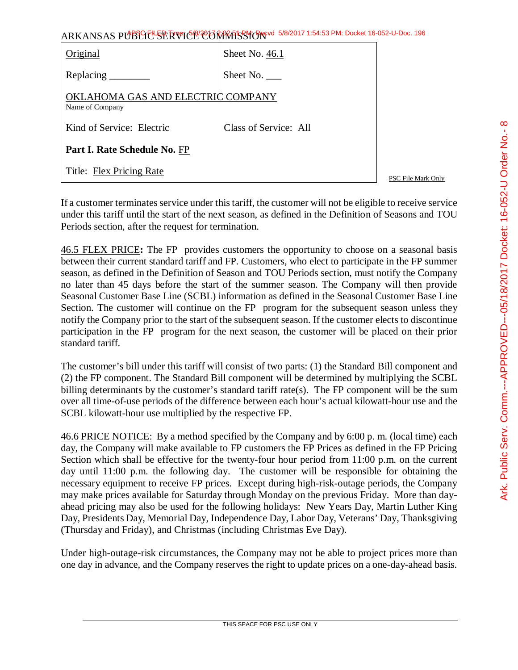| Original                                                                                        | Sheet No. 46.1        |  |
|-------------------------------------------------------------------------------------------------|-----------------------|--|
| Replacing $\frac{1}{\sqrt{1-\frac{1}{2}}\sqrt{1-\frac{1}{2}}\left\vert \frac{1}{2}\right\vert}$ | Sheet No. $\_\_$      |  |
| OKLAHOMA GAS AND ELECTRIC COMPANY<br>Name of Company                                            |                       |  |
| Kind of Service: Electric                                                                       | Class of Service: All |  |
| Part I. Rate Schedule No. FP                                                                    |                       |  |
| Title: Flex Pricing Rate                                                                        |                       |  |

PSC File Mark Only

If a customer terminates service under this tariff, the customer will not be eligible to receive service under this tariff until the start of the next season, as defined in the Definition of Seasons and TOU Periods section, after the request for termination.

46.5 FLEX PRICE**:** The FP provides customers the opportunity to choose on a seasonal basis between their current standard tariff and FP. Customers, who elect to participate in the FP summer season, as defined in the Definition of Season and TOU Periods section, must notify the Company no later than 45 days before the start of the summer season. The Company will then provide Seasonal Customer Base Line (SCBL) information as defined in the Seasonal Customer Base Line Section. The customer will continue on the FP program for the subsequent season unless they notify the Company prior to the start of the subsequent season. If the customer elects to discontinue participation in the FP program for the next season, the customer will be placed on their prior standard tariff.

The customer's bill under this tariff will consist of two parts: (1) the Standard Bill component and (2) the FP component. The Standard Bill component will be determined by multiplying the SCBL billing determinants by the customer's standard tariff rate(s). The FP component will be the sum over all time-of-use periods of the difference between each hour's actual kilowatt-hour use and the SCBL kilowatt-hour use multiplied by the respective FP.

46.6 PRICE NOTICE: By a method specified by the Company and by 6:00 p. m. (local time) each day, the Company will make available to FP customers the FP Prices as defined in the FP Pricing Section which shall be effective for the twenty-four hour period from 11:00 p.m. on the current day until 11:00 p.m. the following day. The customer will be responsible for obtaining the necessary equipment to receive FP prices. Except during high-risk-outage periods, the Company may make prices available for Saturday through Monday on the previous Friday. More than dayahead pricing may also be used for the following holidays: New Years Day, Martin Luther King Day, Presidents Day, Memorial Day, Independence Day, Labor Day, Veterans' Day, Thanksgiving (Thursday and Friday), and Christmas (including Christmas Eve Day).

Under high-outage-risk circumstances, the Company may not be able to project prices more than one day in advance, and the Company reserves the right to update prices on a one-day-ahead basis.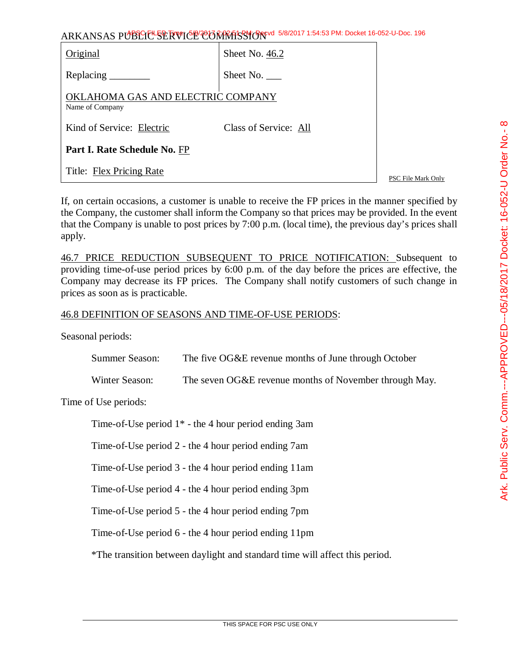| Original                                            | Sheet No. 46.2        |
|-----------------------------------------------------|-----------------------|
| Replacing $\qquad$                                  | Sheet No.             |
| KLAHOMA GAS AND ELECTRIC COMPANY<br>Name of Company |                       |
| Kind of Service: Electric                           | Class of Service: All |
| Part I. Rate Schedule No. FP                        |                       |
| Title: Flex Pricing Rate                            |                       |

PSC File Mark Only

If, on certain occasions, a customer is unable to receive the FP prices in the manner specified by the Company, the customer shall inform the Company so that prices may be provided. In the event that the Company is unable to post prices by 7:00 p.m. (local time), the previous day's prices shall apply.

46.7 PRICE REDUCTION SUBSEQUENT TO PRICE NOTIFICATION: Subsequent to providing time-of-use period prices by 6:00 p.m. of the day before the prices are effective, the Company may decrease its FP prices. The Company shall notify customers of such change in prices as soon as is practicable.

## 46.8 DEFINITION OF SEASONS AND TIME-OF-USE PERIODS:

Seasonal periods:

| Summer Season: | The five OG&E revenue months of June through October   |
|----------------|--------------------------------------------------------|
| Winter Season: | The seven OG&E revenue months of November through May. |

Time of Use periods:

Time-of-Use period 1\* - the 4 hour period ending 3am

Time-of-Use period 2 - the 4 hour period ending 7am

Time-of-Use period 3 - the 4 hour period ending 11am

Time-of-Use period 4 - the 4 hour period ending 3pm

Time-of-Use period 5 - the 4 hour period ending 7pm

Time-of-Use period 6 - the 4 hour period ending 11pm

\*The transition between daylight and standard time will affect this period.

 $\infty$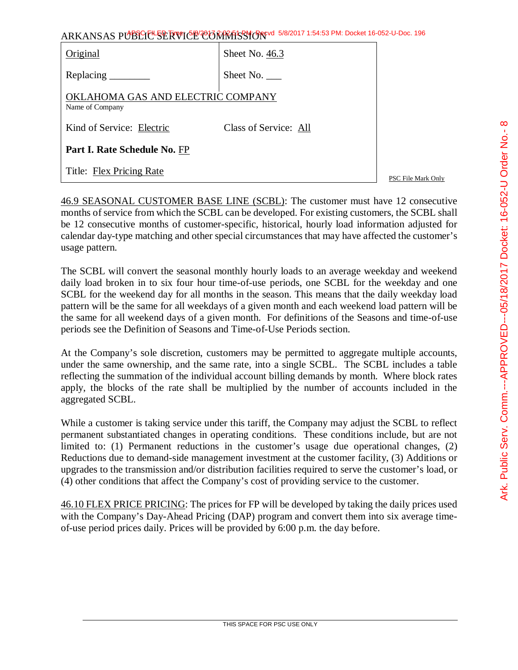| Original                                             | Sheet No. 46.3        |
|------------------------------------------------------|-----------------------|
| Replacing                                            | Sheet No. $\_\_$      |
| OKLAHOMA GAS AND ELECTRIC COMPANY<br>Name of Company |                       |
| Kind of Service: Electric                            | Class of Service: All |
| Part I. Rate Schedule No. FP                         |                       |
| Title: Flex Pricing Rate                             |                       |

46.9 SEASONAL CUSTOMER BASE LINE (SCBL): The customer must have 12 consecutive months of service from which the SCBL can be developed. For existing customers, the SCBL shall be 12 consecutive months of customer-specific, historical, hourly load information adjusted for calendar day-type matching and other special circumstances that may have affected the customer's usage pattern.

The SCBL will convert the seasonal monthly hourly loads to an average weekday and weekend daily load broken in to six four hour time-of-use periods, one SCBL for the weekday and one SCBL for the weekend day for all months in the season. This means that the daily weekday load pattern will be the same for all weekdays of a given month and each weekend load pattern will be the same for all weekend days of a given month. For definitions of the Seasons and time-of-use periods see the Definition of Seasons and Time-of-Use Periods section.

At the Company's sole discretion, customers may be permitted to aggregate multiple accounts, under the same ownership, and the same rate, into a single SCBL. The SCBL includes a table reflecting the summation of the individual account billing demands by month. Where block rates apply, the blocks of the rate shall be multiplied by the number of accounts included in the aggregated SCBL.

While a customer is taking service under this tariff, the Company may adjust the SCBL to reflect permanent substantiated changes in operating conditions. These conditions include, but are not limited to: (1) Permanent reductions in the customer's usage due operational changes, (2) Reductions due to demand-side management investment at the customer facility, (3) Additions or upgrades to the transmission and/or distribution facilities required to serve the customer's load, or (4) other conditions that affect the Company's cost of providing service to the customer.

46.10 FLEX PRICE PRICING: The prices for FP will be developed by taking the daily prices used with the Company's Day-Ahead Pricing (DAP) program and convert them into six average timeof-use period prices daily. Prices will be provided by 6:00 p.m. the day before.

PSC File Mark Only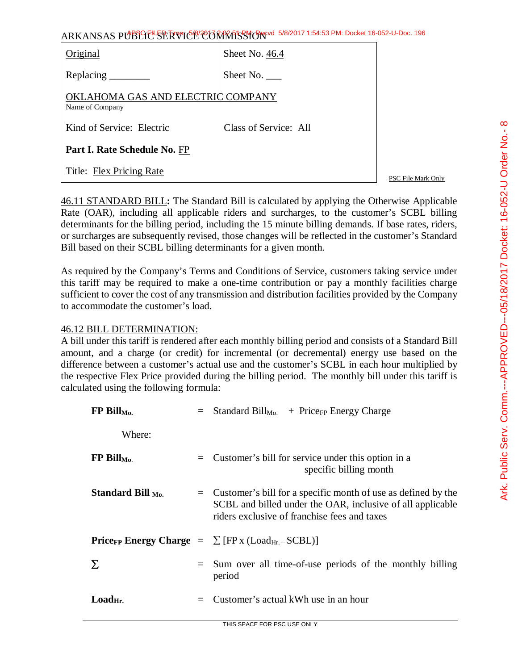| Original                                             | Sheet No. 46.4        |
|------------------------------------------------------|-----------------------|
| Replacing _______                                    | Sheet No. $\_\_$      |
| OKLAHOMA GAS AND ELECTRIC COMPANY<br>Name of Company |                       |
| Kind of Service: Electric                            | Class of Service: All |
| <b>Part I. Rate Schedule No. FP</b>                  |                       |
| Title: Flex Pricing Rate                             |                       |

PSC File Mark Only

46.11 STANDARD BILL**:** The Standard Bill is calculated by applying the Otherwise Applicable Rate (OAR), including all applicable riders and surcharges, to the customer's SCBL billing determinants for the billing period, including the 15 minute billing demands. If base rates, riders, or surcharges are subsequently revised, those changes will be reflected in the customer's Standard Bill based on their SCBL billing determinants for a given month.

As required by the Company's Terms and Conditions of Service, customers taking service under this tariff may be required to make a one-time contribution or pay a monthly facilities charge sufficient to cover the cost of any transmission and distribution facilities provided by the Company to accommodate the customer's load.

## 46.12 BILL DETERMINATION:

A bill under this tariff is rendered after each monthly billing period and consists of a Standard Bill amount, and a charge (or credit) for incremental (or decremental) energy use based on the difference between a customer's actual use and the customer's SCBL in each hour multiplied by the respective Flex Price provided during the billing period. The monthly bill under this tariff is calculated using the following formula:

| $FP$ Bill <sub>Mo.</sub>       |     | $=$ Standard Bill <sub>Mo.</sub> + Price <sub>FP</sub> Energy Charge                                                                                                            |
|--------------------------------|-----|---------------------------------------------------------------------------------------------------------------------------------------------------------------------------------|
| Where:                         |     |                                                                                                                                                                                 |
| $FP \text{ Bill}_\text{Mo}$    |     | $=$ Customer's bill for service under this option in a<br>specific billing month                                                                                                |
| Standard Bill $_{\text{Mo}}$ . |     | $=$ Customer's bill for a specific month of use as defined by the<br>SCBL and billed under the OAR, inclusive of all applicable<br>riders exclusive of franchise fees and taxes |
|                                |     | <b>Price<sub>FP</sub></b> Energy Charge $= \sum$ [FP <sub>x</sub> (Load <sub>Hr. -</sub> SCBL)]                                                                                 |
| Σ                              |     | Sum over all time-of-use periods of the monthly billing<br>period                                                                                                               |
| $LoadHi$ .                     | $=$ | Customer's actual kWh use in an hour                                                                                                                                            |